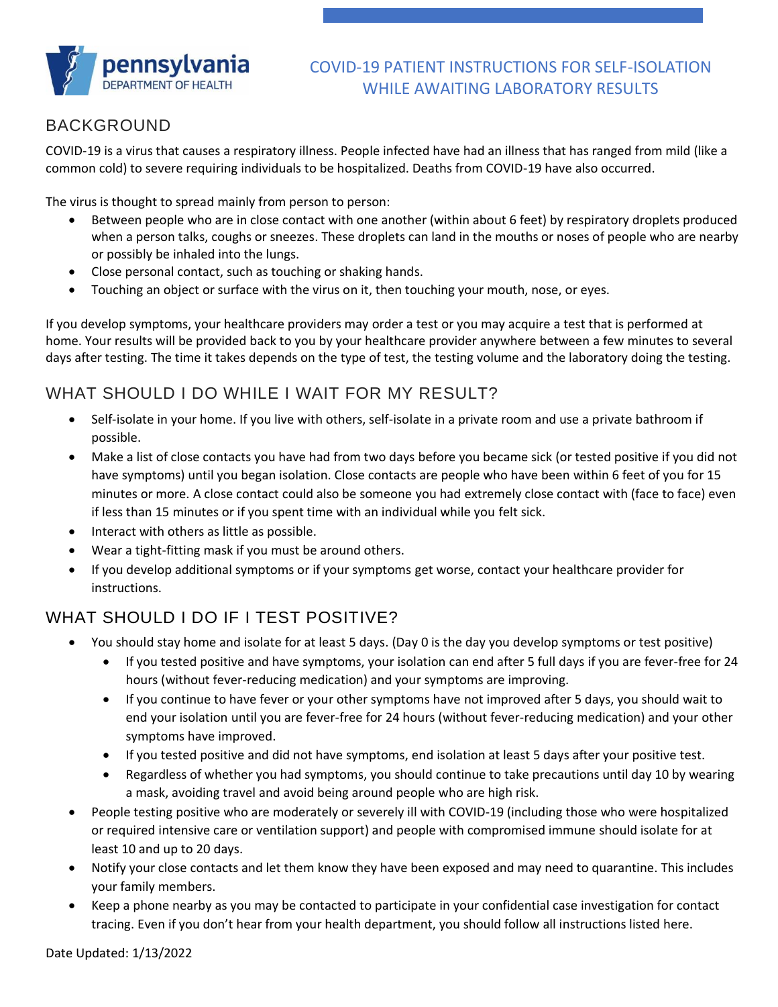

#### COVID-19 PATIENT INSTRUCTIONS FOR SELF-ISOLATION WHILE AWAITING LABORATORY RESULTS

### BACKGROUND

COVID-19 is a virus that causes a respiratory illness. People infected have had an illness that has ranged from mild (like a common cold) to severe requiring individuals to be hospitalized. Deaths from COVID-19 have also occurred.

The virus is thought to spread mainly from person to person:

- Between people who are in close contact with one another (within about 6 feet) by respiratory droplets produced when a person talks, coughs or sneezes. These droplets can land in the mouths or noses of people who are nearby or possibly be inhaled into the lungs.
- Close personal contact, such as touching or shaking hands.
- Touching an object or surface with the virus on it, then touching your mouth, nose, or eyes.

If you develop symptoms, your healthcare providers may order a test or you may acquire a test that is performed at home. Your results will be provided back to you by your healthcare provider anywhere between a few minutes to several days after testing. The time it takes depends on the type of test, the testing volume and the laboratory doing the testing.

# WHAT SHOULD I DO WHILE I WAIT FOR MY RESULT?

- Self-isolate in your home. If you live with others, self-isolate in a private room and use a private bathroom if possible.
- Make a list of close contacts you have had from two days before you became sick (or tested positive if you did not have symptoms) until you began isolation. Close contacts are people who have been within 6 feet of you for 15 minutes or more. A close contact could also be someone you had extremely close contact with (face to face) even if less than 15 minutes or if you spent time with an individual while you felt sick.
- Interact with others as little as possible.
- Wear a tight-fitting mask if you must be around others.
- If you develop additional symptoms or if your symptoms get worse, contact your healthcare provider for instructions.

# WHAT SHOULD LDO IF LIFST POSITIVE?

- You should stay home and isolate for at least 5 days. (Day 0 is the day you develop symptoms or test positive)
	- If you tested positive and have symptoms, your isolation can end after 5 full days if you are fever-free for 24 hours (without fever-reducing medication) and your symptoms are improving.
	- If you continue to have fever or your other symptoms have not improved after 5 days, you should wait to end your isolation until you are fever-free for 24 hours (without fever-reducing medication) and your other symptoms have improved.
	- If you tested positive and did not have symptoms, end isolation at least 5 days after your positive test.
	- Regardless of whether you had symptoms, you should continue to take precautions until day 10 by wearing a mask, avoiding travel and avoid being around people who are high risk.
- People testing positive who are moderately or severely ill with COVID-19 (including those who were hospitalized or required intensive care or ventilation support) and people with compromised immune should isolate for at least 10 and up to 20 days.
- Notify your close contacts and let them know they have been exposed and may need to quarantine. This includes your family members.
- Keep a phone nearby as you may be contacted to participate in your confidential case investigation for contact tracing. Even if you don't hear from your health department, you should follow all instructions listed here.